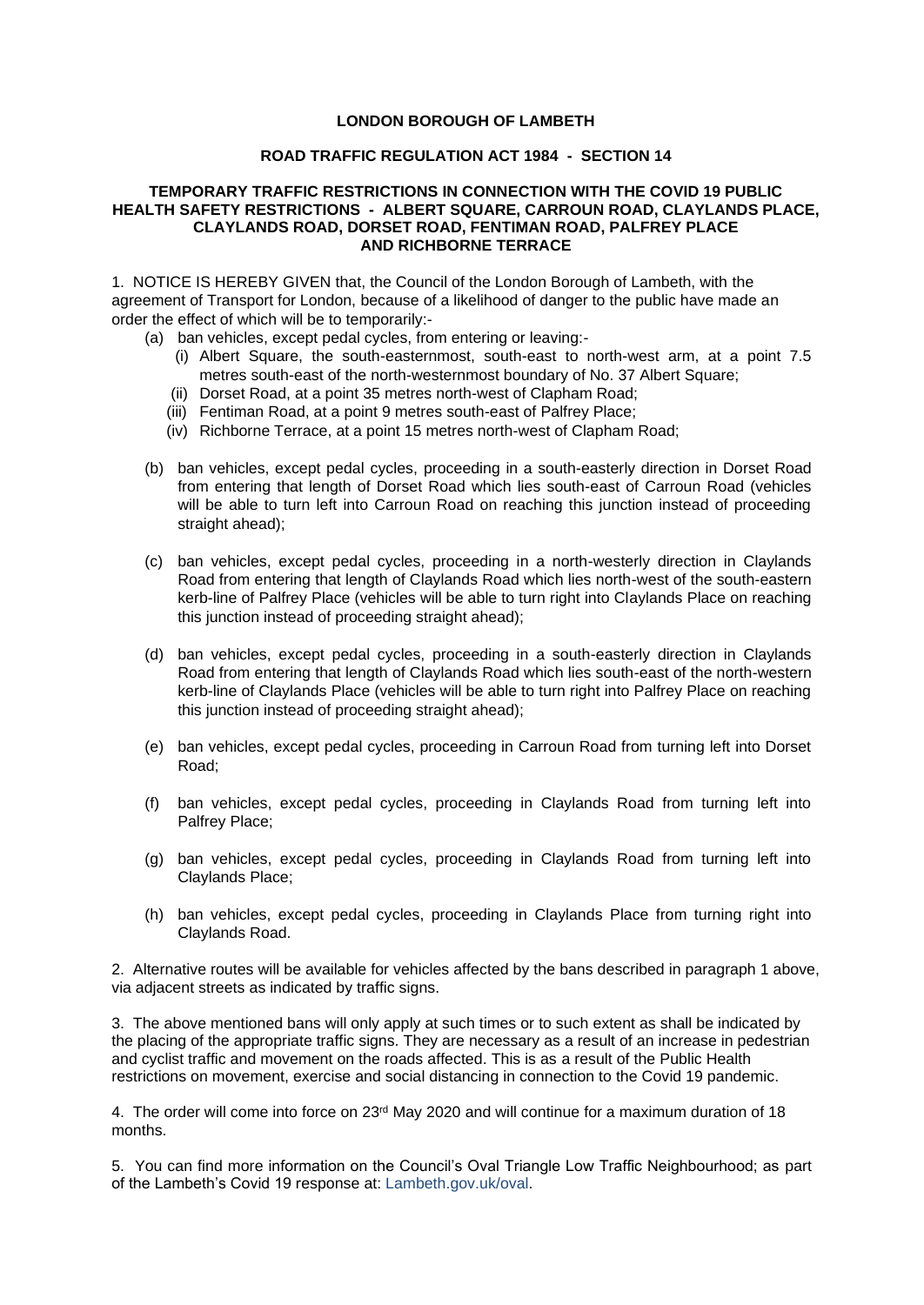## **LONDON BOROUGH OF LAMBETH**

## **ROAD TRAFFIC REGULATION ACT 1984 - SECTION 14**

## **TEMPORARY TRAFFIC RESTRICTIONS IN CONNECTION WITH THE COVID 19 PUBLIC HEALTH SAFETY RESTRICTIONS - ALBERT SQUARE, CARROUN ROAD, CLAYLANDS PLACE, CLAYLANDS ROAD, DORSET ROAD, FENTIMAN ROAD, PALFREY PLACE AND RICHBORNE TERRACE**

1. NOTICE IS HEREBY GIVEN that, the Council of the London Borough of Lambeth, with the agreement of Transport for London, because of a likelihood of danger to the public have made an order the effect of which will be to temporarily:-

- (a) ban vehicles, except pedal cycles, from entering or leaving:-
	- (i) Albert Square, the south-easternmost, south-east to north-west arm, at a point 7.5 metres south-east of the north-westernmost boundary of No. 37 Albert Square;
	- (ii) Dorset Road, at a point 35 metres north-west of Clapham Road;
	- (iii) Fentiman Road, at a point 9 metres south-east of Palfrey Place;
	- (iv) Richborne Terrace, at a point 15 metres north-west of Clapham Road;
- (b) ban vehicles, except pedal cycles, proceeding in a south-easterly direction in Dorset Road from entering that length of Dorset Road which lies south-east of Carroun Road (vehicles will be able to turn left into Carroun Road on reaching this junction instead of proceeding straight ahead);
- (c) ban vehicles, except pedal cycles, proceeding in a north-westerly direction in Claylands Road from entering that length of Claylands Road which lies north-west of the south-eastern kerb-line of Palfrey Place (vehicles will be able to turn right into Claylands Place on reaching this junction instead of proceeding straight ahead);
- (d) ban vehicles, except pedal cycles, proceeding in a south-easterly direction in Claylands Road from entering that length of Claylands Road which lies south-east of the north-western kerb-line of Claylands Place (vehicles will be able to turn right into Palfrey Place on reaching this junction instead of proceeding straight ahead);
- (e) ban vehicles, except pedal cycles, proceeding in Carroun Road from turning left into Dorset Road;
- (f) ban vehicles, except pedal cycles, proceeding in Claylands Road from turning left into Palfrey Place;
- (g) ban vehicles, except pedal cycles, proceeding in Claylands Road from turning left into Claylands Place;
- (h) ban vehicles, except pedal cycles, proceeding in Claylands Place from turning right into Claylands Road.

2. Alternative routes will be available for vehicles affected by the bans described in paragraph 1 above, via adjacent streets as indicated by traffic signs.

3. The above mentioned bans will only apply at such times or to such extent as shall be indicated by the placing of the appropriate traffic signs. They are necessary as a result of an increase in pedestrian and cyclist traffic and movement on the roads affected. This is as a result of the Public Health restrictions on movement, exercise and social distancing in connection to the Covid 19 pandemic.

4. The order will come into force on 23<sup>rd</sup> May 2020 and will continue for a maximum duration of 18 months.

5. You can find more information on the Council's Oval Triangle Low Traffic Neighbourhood; as part of the Lambeth's Covid 19 response at: Lambeth.gov.uk/oval.